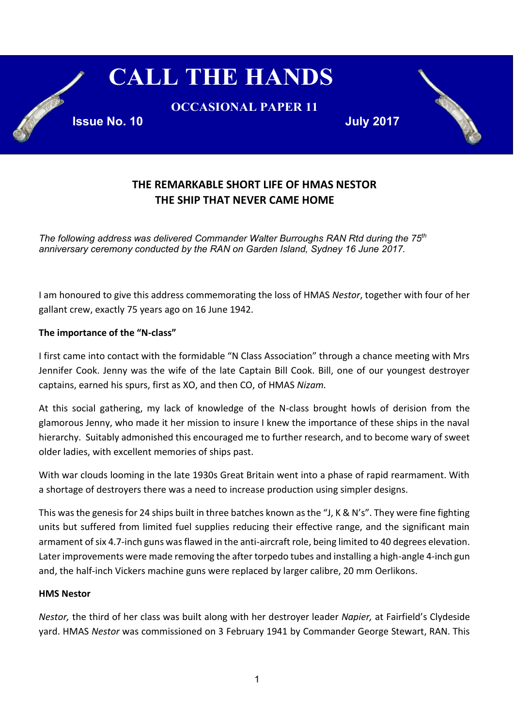

## **THE REMARKABLE SHORT LIFE OF HMAS NESTOR THE SHIP THAT NEVER CAME HOME**

*The following address was delivered Commander Walter Burroughs RAN Rtd during the 75th anniversary ceremony conducted by the RAN on Garden Island, Sydney 16 June 2017.*

I am honoured to give this address commemorating the loss of HMAS *Nestor*, together with four of her gallant crew, exactly 75 years ago on 16 June 1942.

## **The importance of the "N-class"**

I first came into contact with the formidable "N Class Association" through a chance meeting with Mrs Jennifer Cook. Jenny was the wife of the late Captain Bill Cook. Bill, one of our youngest destroyer captains, earned his spurs, first as XO, and then CO, of HMAS *Nizam.* 

At this social gathering, my lack of knowledge of the N-class brought howls of derision from the glamorous Jenny, who made it her mission to insure I knew the importance of these ships in the naval hierarchy. Suitably admonished this encouraged me to further research, and to become wary of sweet older ladies, with excellent memories of ships past.

With war clouds looming in the late 1930s Great Britain went into a phase of rapid rearmament. With a shortage of destroyers there was a need to increase production using simpler designs.

This was the genesis for 24 ships built in three batches known as the "J, K & N's". They were fine fighting units but suffered from limited fuel supplies reducing their effective range, and the significant main armament of six 4.7-inch guns was flawed in the anti-aircraft role, being limited to 40 degrees elevation. Later improvements were made removing the after torpedo tubes and installing a high-angle 4-inch gun and, the half-inch Vickers machine guns were replaced by larger calibre, 20 mm Oerlikons.

## **HMS Nestor**

*Nestor,* the third of her class was built along with her destroyer leader *Napier,* at Fairfield's Clydeside yard. HMAS *Nestor* was commissioned on 3 February 1941 by Commander George Stewart, RAN. This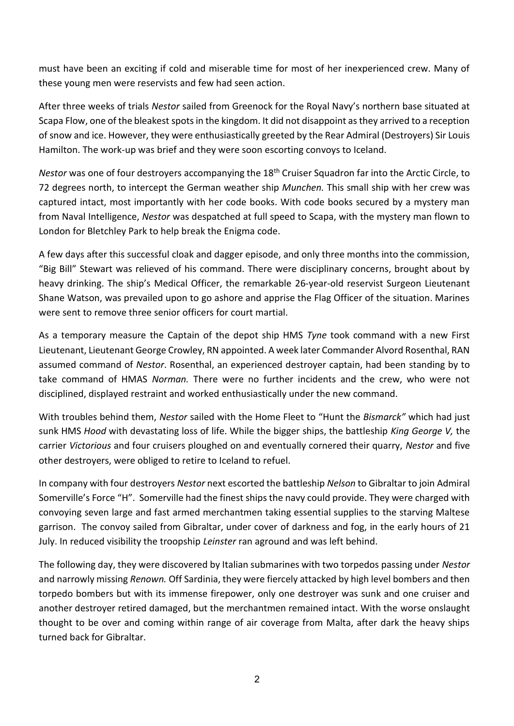must have been an exciting if cold and miserable time for most of her inexperienced crew. Many of these young men were reservists and few had seen action.

After three weeks of trials *Nestor* sailed from Greenock for the Royal Navy's northern base situated at Scapa Flow, one of the bleakest spots in the kingdom. It did not disappoint as they arrived to a reception of snow and ice. However, they were enthusiastically greeted by the Rear Admiral (Destroyers) Sir Louis Hamilton. The work-up was brief and they were soon escorting convoys to Iceland.

*Nestor* was one of four destroyers accompanying the 18<sup>th</sup> Cruiser Squadron far into the Arctic Circle, to 72 degrees north, to intercept the German weather ship *Munchen.* This small ship with her crew was captured intact, most importantly with her code books. With code books secured by a mystery man from Naval Intelligence, *Nestor* was despatched at full speed to Scapa, with the mystery man flown to London for Bletchley Park to help break the Enigma code.

A few days after this successful cloak and dagger episode, and only three months into the commission, "Big Bill" Stewart was relieved of his command. There were disciplinary concerns, brought about by heavy drinking. The ship's Medical Officer, the remarkable 26-year-old reservist Surgeon Lieutenant Shane Watson, was prevailed upon to go ashore and apprise the Flag Officer of the situation. Marines were sent to remove three senior officers for court martial.

As a temporary measure the Captain of the depot ship HMS *Tyne* took command with a new First Lieutenant, Lieutenant George Crowley, RN appointed. A week later Commander Alvord Rosenthal, RAN assumed command of *Nestor*. Rosenthal, an experienced destroyer captain, had been standing by to take command of HMAS *Norman.* There were no further incidents and the crew, who were not disciplined, displayed restraint and worked enthusiastically under the new command.

With troubles behind them, *Nestor* sailed with the Home Fleet to "Hunt the *Bismarck"* which had just sunk HMS *Hood* with devastating loss of life. While the bigger ships, the battleship *King George V,* the carrier *Victorious* and four cruisers ploughed on and eventually cornered their quarry, *Nestor* and five other destroyers, were obliged to retire to Iceland to refuel.

In company with four destroyers *Nestor* next escorted the battleship *Nelson* to Gibraltar to join Admiral Somerville's Force "H". Somerville had the finest ships the navy could provide. They were charged with convoying seven large and fast armed merchantmen taking essential supplies to the starving Maltese garrison. The convoy sailed from Gibraltar, under cover of darkness and fog, in the early hours of 21 July. In reduced visibility the troopship *Leinster* ran aground and was left behind.

The following day, they were discovered by Italian submarines with two torpedos passing under *Nestor* and narrowly missing *Renown.* Off Sardinia, they were fiercely attacked by high level bombers and then torpedo bombers but with its immense firepower, only one destroyer was sunk and one cruiser and another destroyer retired damaged, but the merchantmen remained intact. With the worse onslaught thought to be over and coming within range of air coverage from Malta, after dark the heavy ships turned back for Gibraltar.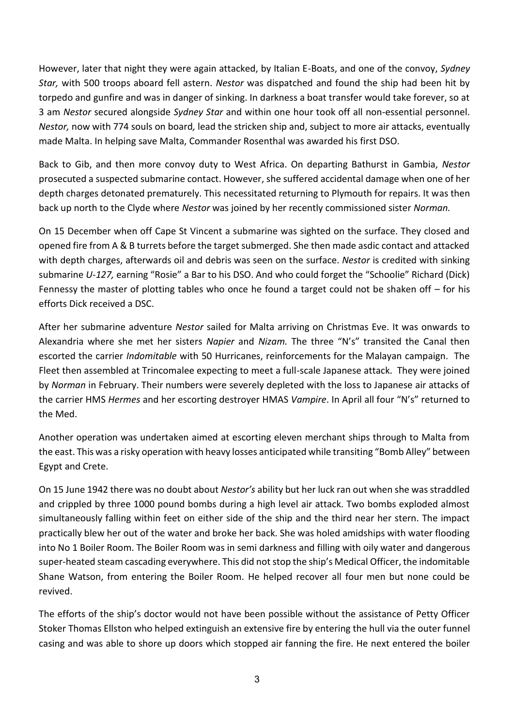However, later that night they were again attacked, by Italian E-Boats, and one of the convoy, *Sydney Star,* with 500 troops aboard fell astern. *Nestor* was dispatched and found the ship had been hit by torpedo and gunfire and was in danger of sinking. In darkness a boat transfer would take forever, so at 3 am *Nestor* secured alongside *Sydney Star* and within one hour took off all non-essential personnel. *Nestor,* now with 774 souls on board*,* lead the stricken ship and, subject to more air attacks, eventually made Malta. In helping save Malta, Commander Rosenthal was awarded his first DSO.

Back to Gib, and then more convoy duty to West Africa. On departing Bathurst in Gambia, *Nestor* prosecuted a suspected submarine contact. However, she suffered accidental damage when one of her depth charges detonated prematurely. This necessitated returning to Plymouth for repairs. It was then back up north to the Clyde where *Nestor* was joined by her recently commissioned sister *Norman.*

On 15 December when off Cape St Vincent a submarine was sighted on the surface. They closed and opened fire from A & B turrets before the target submerged. She then made asdic contact and attacked with depth charges, afterwards oil and debris was seen on the surface. *Nestor* is credited with sinking submarine *U-127,* earning "Rosie" a Bar to his DSO. And who could forget the "Schoolie" Richard (Dick) Fennessy the master of plotting tables who once he found a target could not be shaken off – for his efforts Dick received a DSC.

After her submarine adventure *Nestor* sailed for Malta arriving on Christmas Eve. It was onwards to Alexandria where she met her sisters *Napier* and *Nizam.* The three "N's" transited the Canal then escorted the carrier *Indomitable* with 50 Hurricanes, reinforcements for the Malayan campaign. The Fleet then assembled at Trincomalee expecting to meet a full-scale Japanese attack. They were joined by *Norman* in February. Their numbers were severely depleted with the loss to Japanese air attacks of the carrier HMS *Hermes* and her escorting destroyer HMAS *Vampire*. In April all four "N's" returned to the Med.

Another operation was undertaken aimed at escorting eleven merchant ships through to Malta from the east. This was a risky operation with heavy losses anticipated while transiting "Bomb Alley" between Egypt and Crete.

On 15 June 1942 there was no doubt about *Nestor's* ability but her luck ran out when she was straddled and crippled by three 1000 pound bombs during a high level air attack. Two bombs exploded almost simultaneously falling within feet on either side of the ship and the third near her stern. The impact practically blew her out of the water and broke her back. She was holed amidships with water flooding into No 1 Boiler Room. The Boiler Room was in semi darkness and filling with oily water and dangerous super-heated steam cascading everywhere. This did not stop the ship's Medical Officer, the indomitable Shane Watson, from entering the Boiler Room. He helped recover all four men but none could be revived.

The efforts of the ship's doctor would not have been possible without the assistance of Petty Officer Stoker Thomas Ellston who helped extinguish an extensive fire by entering the hull via the outer funnel casing and was able to shore up doors which stopped air fanning the fire. He next entered the boiler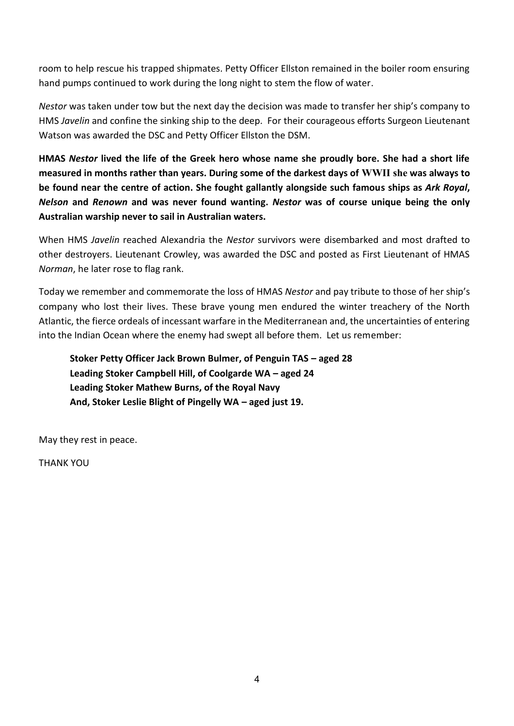room to help rescue his trapped shipmates. Petty Officer Ellston remained in the boiler room ensuring hand pumps continued to work during the long night to stem the flow of water.

*Nestor* was taken under tow but the next day the decision was made to transfer her ship's company to HMS *Javelin* and confine the sinking ship to the deep. For their courageous efforts Surgeon Lieutenant Watson was awarded the DSC and Petty Officer Ellston the DSM.

**HMAS** *Nestor* **lived the life of the Greek hero whose name she proudly bore. She had a short life measured in months rather than years. During some of the darkest days of WWII she was always to be found near the centre of action. She fought gallantly alongside such famous ships as** *Ark Royal***,**  *Nelson* **and** *Renown* **and was never found wanting.** *Nestor* **was of course unique being the only Australian warship never to sail in Australian waters.** 

When HMS *Javelin* reached Alexandria the *Nestor* survivors were disembarked and most drafted to other destroyers. Lieutenant Crowley, was awarded the DSC and posted as First Lieutenant of HMAS *Norman*, he later rose to flag rank.

Today we remember and commemorate the loss of HMAS *Nestor* and pay tribute to those of her ship's company who lost their lives. These brave young men endured the winter treachery of the North Atlantic, the fierce ordeals of incessant warfare in the Mediterranean and, the uncertainties of entering into the Indian Ocean where the enemy had swept all before them. Let us remember:

**Stoker Petty Officer Jack Brown Bulmer, of Penguin TAS – aged 28 Leading Stoker Campbell Hill, of Coolgarde WA – aged 24 Leading Stoker Mathew Burns, of the Royal Navy And, Stoker Leslie Blight of Pingelly WA – aged just 19.**

May they rest in peace.

THANK YOU